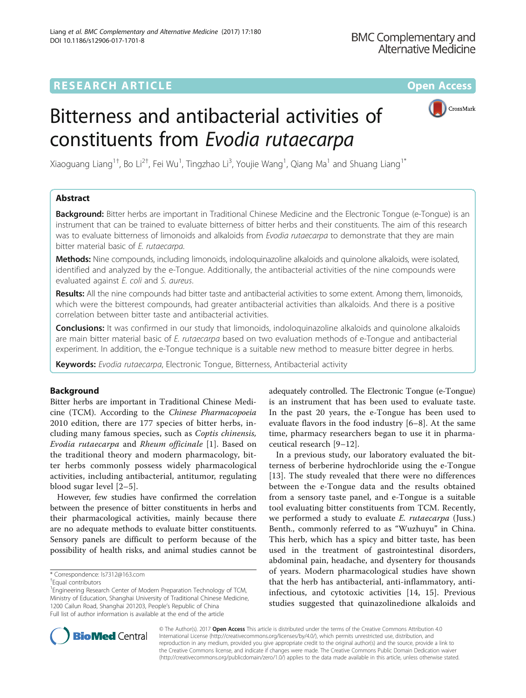# **RESEARCH ARTICLE Example 2014 12:30 The Contract of Contract ACCESS**

# Bitterness and antibacterial activities of constituents from Evodia rutaecarpa



Xiaoguang Liang $^{1\dagger}$ , Bo Li $^{2\dagger}$ , Fei Wu $^1$ , Tingzhao Li $^3$ , Youjie Wang $^1$ , Qiang Ma $^1$  and Shuang Liang $^{1*}$ 

# Abstract

**Background:** Bitter herbs are important in Traditional Chinese Medicine and the Electronic Tongue (e-Tongue) is an instrument that can be trained to evaluate bitterness of bitter herbs and their constituents. The aim of this research was to evaluate bitterness of limonoids and alkaloids from Evodia rutaecarpa to demonstrate that they are main bitter material basic of E. rutaecarpa.

Methods: Nine compounds, including limonoids, indoloquinazoline alkaloids and quinolone alkaloids, were isolated, identified and analyzed by the e-Tongue. Additionally, the antibacterial activities of the nine compounds were evaluated against E. coli and S. aureus.

Results: All the nine compounds had bitter taste and antibacterial activities to some extent. Among them, limonoids, which were the bitterest compounds, had greater antibacterial activities than alkaloids. And there is a positive correlation between bitter taste and antibacterial activities.

**Conclusions:** It was confirmed in our study that limonoids, indoloquinazoline alkaloids and quinolone alkaloids are main bitter material basic of E. rutaecarpa based on two evaluation methods of e-Tongue and antibacterial experiment. In addition, the e-Tongue technique is a suitable new method to measure bitter degree in herbs.

Keywords: Evodia rutaecarpa, Electronic Tonque, Bitterness, Antibacterial activity

# Background

Bitter herbs are important in Traditional Chinese Medicine (TCM). According to the Chinese Pharmacopoeia 2010 edition, there are 177 species of bitter herbs, including many famous species, such as Coptis chinensis, Evodia rutaecarpa and Rheum officinale [[1](#page-5-0)]. Based on the traditional theory and modern pharmacology, bitter herbs commonly possess widely pharmacological activities, including antibacterial, antitumor, regulating blood sugar level [[2](#page-5-0)–[5\]](#page-6-0).

However, few studies have confirmed the correlation between the presence of bitter constituents in herbs and their pharmacological activities, mainly because there are no adequate methods to evaluate bitter constituents. Sensory panels are difficult to perform because of the possibility of health risks, and animal studies cannot be

adequately controlled. The Electronic Tongue (e-Tongue) is an instrument that has been used to evaluate taste. In the past 20 years, the e-Tongue has been used to evaluate flavors in the food industry [[6](#page-6-0)–[8\]](#page-6-0). At the same time, pharmacy researchers began to use it in pharmaceutical research [[9](#page-6-0)–[12\]](#page-6-0).

In a previous study, our laboratory evaluated the bitterness of berberine hydrochloride using the e-Tongue [[13\]](#page-6-0). The study revealed that there were no differences between the e-Tongue data and the results obtained from a sensory taste panel, and e-Tongue is a suitable tool evaluating bitter constituents from TCM. Recently, we performed a study to evaluate E. rutaecarpa (Juss.) Benth., commonly referred to as "Wuzhuyu" in China. This herb, which has a spicy and bitter taste, has been used in the treatment of gastrointestinal disorders, abdominal pain, headache, and dysentery for thousands of years. Modern pharmacological studies have shown that the herb has antibacterial, anti-inflammatory, antiinfectious, and cytotoxic activities [[14, 15\]](#page-6-0). Previous studies suggested that quinazolinedione alkaloids and



© The Author(s). 2017 **Open Access** This article is distributed under the terms of the Creative Commons Attribution 4.0 International License [\(http://creativecommons.org/licenses/by/4.0/](http://creativecommons.org/licenses/by/4.0/)), which permits unrestricted use, distribution, and reproduction in any medium, provided you give appropriate credit to the original author(s) and the source, provide a link to the Creative Commons license, and indicate if changes were made. The Creative Commons Public Domain Dedication waiver [\(http://creativecommons.org/publicdomain/zero/1.0/](http://creativecommons.org/publicdomain/zero/1.0/)) applies to the data made available in this article, unless otherwise stated.

<sup>\*</sup> Correspondence: [ls7312@163.com](mailto:ls7312@163.com) †

Equal contributors

<sup>&</sup>lt;sup>1</sup> Engineering Research Center of Modern Preparation Technology of TCM, Ministry of Education, Shanghai University of Traditional Chinese Medicine, 1200 Cailun Road, Shanghai 201203, People's Republic of China Full list of author information is available at the end of the article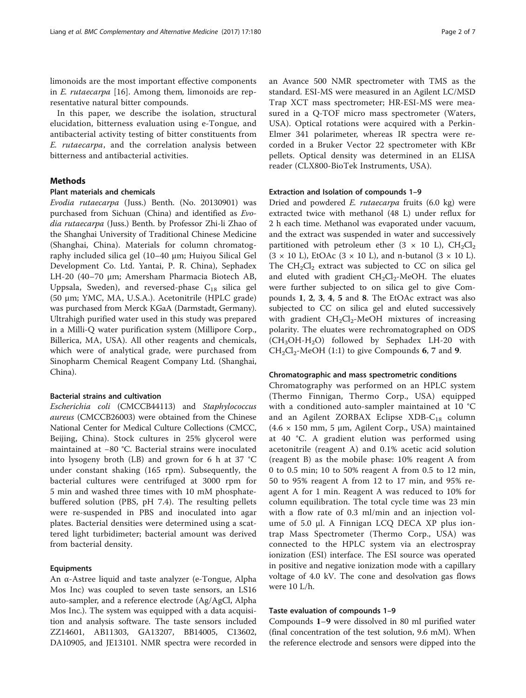limonoids are the most important effective components in E. rutaecarpa [\[16](#page-6-0)]. Among them, limonoids are representative natural bitter compounds.

In this paper, we describe the isolation, structural elucidation, bitterness evaluation using e-Tongue, and antibacterial activity testing of bitter constituents from E. rutaecarpa, and the correlation analysis between bitterness and antibacterial activities.

# Methods

# Plant materials and chemicals

Evodia rutaecarpa (Juss.) Benth. (No. 20130901) was purchased from Sichuan (China) and identified as Evodia rutaecarpa (Juss.) Benth. by Professor Zhi-li Zhao of the Shanghai University of Traditional Chinese Medicine (Shanghai, China). Materials for column chromatography included silica gel (10–40 μm; Huiyou Silical Gel Development Co. Ltd. Yantai, P. R. China), Sephadex LH-20 (40–70 μm; Amersham Pharmacia Biotech AB, Uppsala, Sweden), and reversed-phase  $C_{18}$  silica gel (50 μm; YMC, MA, U.S.A.). Acetonitrile (HPLC grade) was purchased from Merck KGaA (Darmstadt, Germany). Ultrahigh purified water used in this study was prepared in a Milli-Q water purification system (Millipore Corp., Billerica, MA, USA). All other reagents and chemicals, which were of analytical grade, were purchased from Sinopharm Chemical Reagent Company Ltd. (Shanghai, China).

# Bacterial strains and cultivation

Escherichia coli (CMCCB44113) and Staphylococcus aureus (CMCCB26003) were obtained from the Chinese National Center for Medical Culture Collections (CMCC, Beijing, China). Stock cultures in 25% glycerol were maintained at −80 °C. Bacterial strains were inoculated into lysogeny broth (LB) and grown for 6 h at 37 °C under constant shaking (165 rpm). Subsequently, the bacterial cultures were centrifuged at 3000 rpm for 5 min and washed three times with 10 mM phosphatebuffered solution (PBS, pH 7.4). The resulting pellets were re-suspended in PBS and inoculated into agar plates. Bacterial densities were determined using a scattered light turbidimeter; bacterial amount was derived from bacterial density.

#### Equipments

An α-Astree liquid and taste analyzer (e-Tongue, Alpha Mos Inc) was coupled to seven taste sensors, an LS16 auto-sampler, and a reference electrode (Ag/AgCl, Alpha Mos Inc.). The system was equipped with a data acquisition and analysis software. The taste sensors included ZZ14601, AB11303, GA13207, BB14005, C13602, DA10905, and JE13101. NMR spectra were recorded in an Avance 500 NMR spectrometer with TMS as the standard. ESI-MS were measured in an Agilent LC/MSD Trap XCT mass spectrometer; HR-ESI-MS were measured in a Q-TOF micro mass spectrometer (Waters, USA). Optical rotations were acquired with a Perkin-Elmer 341 polarimeter, whereas IR spectra were recorded in a Bruker Vector 22 spectrometer with KBr pellets. Optical density was determined in an ELISA reader (CLX800-BioTek Instruments, USA).

#### Extraction and Isolation of compounds 1–9

Dried and powdered E. rutaecarpa fruits (6.0 kg) were extracted twice with methanol (48 L) under reflux for 2 h each time. Methanol was evaporated under vacuum, and the extract was suspended in water and successively partitioned with petroleum ether (3  $\times$  10 L), CH<sub>2</sub>Cl<sub>2</sub>  $(3 \times 10 \text{ L})$ , EtOAc  $(3 \times 10 \text{ L})$ , and n-butanol  $(3 \times 10 \text{ L})$ . The  $CH_2Cl_2$  extract was subjected to CC on silica gel and eluted with gradient  $CH_2Cl_2$ -MeOH. The eluates were further subjected to on silica gel to give Compounds 1, 2, 3, 4, 5 and 8. The EtOAc extract was also subjected to CC on silica gel and eluted successively with gradient  $CH_2Cl_2$ -MeOH mixtures of increasing polarity. The eluates were rechromatographed on ODS  $(CH<sub>3</sub>OH-H<sub>2</sub>O)$  followed by Sephadex LH-20 with  $CH_2Cl_2$ -MeOH (1:1) to give Compounds 6, 7 and 9.

# Chromatographic and mass spectrometric conditions

Chromatography was performed on an HPLC system (Thermo Finnigan, Thermo Corp., USA) equipped with a conditioned auto-sampler maintained at 10 °C and an Agilent ZORBAX Eclipse  $XDB-C_{18}$  column (4.6 × 150 mm, 5 μm, Agilent Corp., USA) maintained at 40 °C. A gradient elution was performed using acetonitrile (reagent A) and 0.1% acetic acid solution (reagent B) as the mobile phase: 10% reagent A from 0 to 0.5 min; 10 to 50% reagent A from 0.5 to 12 min, 50 to 95% reagent A from 12 to 17 min, and 95% reagent A for 1 min. Reagent A was reduced to 10% for column equilibration. The total cycle time was 23 min with a flow rate of 0.3 ml/min and an injection volume of 5.0 μl. A Finnigan LCQ DECA XP plus iontrap Mass Spectrometer (Thermo Corp., USA) was connected to the HPLC system via an electrospray ionization (ESI) interface. The ESI source was operated in positive and negative ionization mode with a capillary voltage of 4.0 kV. The cone and desolvation gas flows were 10 L/h.

#### Taste evaluation of compounds 1–9

Compounds 1–9 were dissolved in 80 ml purified water (final concentration of the test solution, 9.6 mM). When the reference electrode and sensors were dipped into the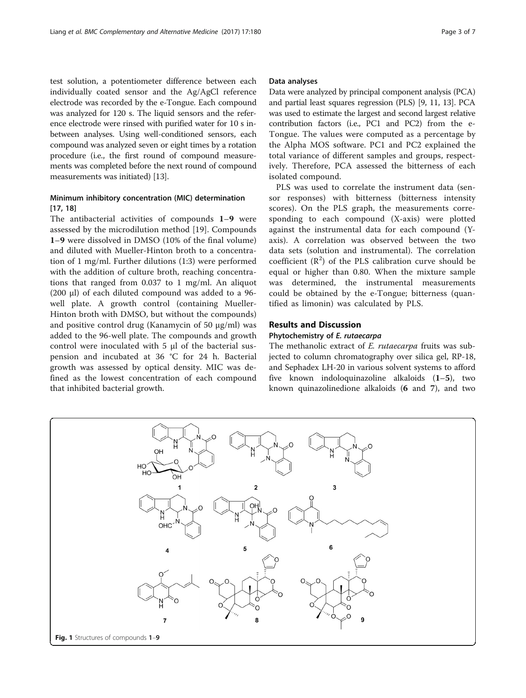<span id="page-2-0"></span>test solution, a potentiometer difference between each individually coated sensor and the Ag/AgCl reference electrode was recorded by the e-Tongue. Each compound was analyzed for 120 s. The liquid sensors and the reference electrode were rinsed with purified water for 10 s inbetween analyses. Using well-conditioned sensors, each compound was analyzed seven or eight times by a rotation procedure (i.e., the first round of compound measurements was completed before the next round of compound measurements was initiated) [\[13](#page-6-0)].

# Minimum inhibitory concentration (MIC) determination [\[17](#page-6-0), [18\]](#page-6-0)

The antibacterial activities of compounds 1–9 were assessed by the microdilution method [\[19](#page-6-0)]. Compounds 1–9 were dissolved in DMSO (10% of the final volume) and diluted with Mueller-Hinton broth to a concentration of 1 mg/ml. Further dilutions (1:3) were performed with the addition of culture broth, reaching concentrations that ranged from 0.037 to 1 mg/ml. An aliquot (200 μl) of each diluted compound was added to a 96 well plate. A growth control (containing Mueller-Hinton broth with DMSO, but without the compounds) and positive control drug (Kanamycin of 50 μg/ml) was added to the 96-well plate. The compounds and growth control were inoculated with 5 μl of the bacterial suspension and incubated at 36 °C for 24 h. Bacterial growth was assessed by optical density. MIC was defined as the lowest concentration of each compound that inhibited bacterial growth.

#### Data analyses

Data were analyzed by principal component analysis (PCA) and partial least squares regression (PLS) [[9](#page-6-0), [11](#page-6-0), [13](#page-6-0)]. PCA was used to estimate the largest and second largest relative contribution factors (i.e., PC1 and PC2) from the e-Tongue. The values were computed as a percentage by the Alpha MOS software. PC1 and PC2 explained the total variance of different samples and groups, respectively. Therefore, PCA assessed the bitterness of each isolated compound.

PLS was used to correlate the instrument data (sensor responses) with bitterness (bitterness intensity scores). On the PLS graph, the measurements corresponding to each compound (X-axis) were plotted against the instrumental data for each compound (Yaxis). A correlation was observed between the two data sets (solution and instrumental). The correlation coefficient  $(R^2)$  of the PLS calibration curve should be equal or higher than 0.80. When the mixture sample was determined, the instrumental measurements could be obtained by the e-Tongue; bitterness (quantified as limonin) was calculated by PLS.

# Results and Discussion

# Phytochemistry of E. rutaecarpa

The methanolic extract of E. rutaecarpa fruits was subjected to column chromatography over silica gel, RP-18, and Sephadex LH-20 in various solvent systems to afford five known indoloquinazoline alkaloids (1–5), two known quinazolinedione alkaloids (6 and 7), and two

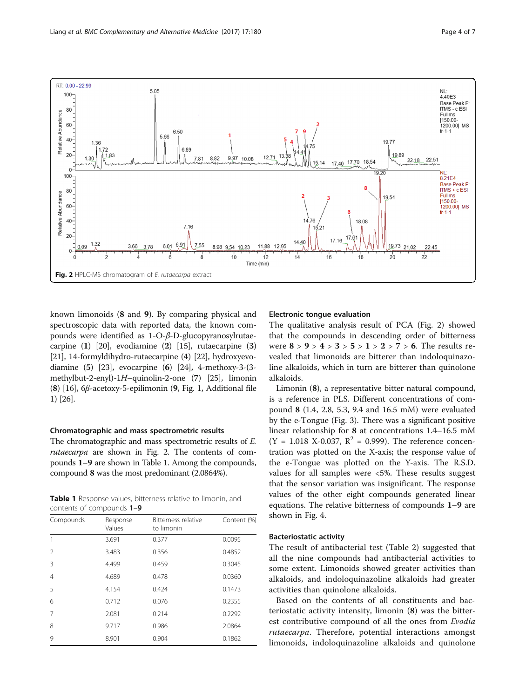

known limonoids (8 and 9). By comparing physical and spectroscopic data with reported data, the known compounds were identified as 1-O-β-D-glucopyranosylrutaecarpine (1) [[20](#page-6-0)], evodiamine (2) [\[15\]](#page-6-0), rutaecarpine (3) [[21](#page-6-0)], 14-formyldihydro-rutaecarpine (4) [[22](#page-6-0)], hydroxyevodiamine (5) [\[23](#page-6-0)], evocarpine (6) [[24](#page-6-0)], 4-methoxy-3-(3 methylbut-2-enyl)-1H–quinolin-2-one (7) [[25](#page-6-0)], limonin (8) [\[16\]](#page-6-0), 6β-acetoxy-5-epilimonin (9, Fig. [1](#page-2-0), Additional file [1\)](#page-5-0) [\[26\]](#page-6-0).

### Chromatographic and mass spectrometric results

The chromatographic and mass spectrometric results of E. rutaecarpa are shown in Fig. 2. The contents of compounds 1–9 are shown in Table 1. Among the compounds, compound 8 was the most predominant (2.0864%).

Table 1 Response values, bitterness relative to limonin, and contents of compounds 1–9

| Compounds      | Response<br>Values | Bitterness relative<br>to limonin | Content (%) |
|----------------|--------------------|-----------------------------------|-------------|
| 1              | 3.691              | 0.377                             | 0.0095      |
| $\mathfrak{D}$ | 3.483              | 0.356                             | 0.4852      |
| 3              | 4.499              | 0.459                             | 0.3045      |
| $\overline{4}$ | 4.689              | 0.478                             | 0.0360      |
| 5              | 4.154              | 0.424                             | 0.1473      |
| 6              | 0.712              | 0.076                             | 0.2355      |
| 7              | 2.081              | 0.214                             | 0.2292      |
| 8              | 9.717              | 0.986                             | 2.0864      |
| 9              | 8.901              | 0.904                             | 0.1862      |

## Electronic tongue evaluation

The qualitative analysis result of PCA (Fig. 2) showed that the compounds in descending order of bitterness were  $8 > 9 > 4 > 3 > 5 > 1 > 2 > 7 > 6$ . The results revealed that limonoids are bitterer than indoloquinazoline alkaloids, which in turn are bitterer than quinolone alkaloids.

Limonin (8), a representative bitter natural compound, is a reference in PLS. Different concentrations of compound 8 (1.4, 2.8, 5.3, 9.4 and 16.5 mM) were evaluated by the e-Tongue (Fig. [3](#page-4-0)). There was a significant positive linear relationship for 8 at concentrations 1.4–16.5 mM  $(Y = 1.018 X - 0.037, R^2 = 0.999)$ . The reference concentration was plotted on the X-axis; the response value of the e-Tongue was plotted on the Y-axis. The R.S.D. values for all samples were <5%. These results suggest that the sensor variation was insignificant. The response values of the other eight compounds generated linear equations. The relative bitterness of compounds 1–9 are shown in Fig. [4](#page-4-0).

# Bacteriostatic activity

The result of antibacterial test (Table [2\)](#page-5-0) suggested that all the nine compounds had antibacterial activities to some extent. Limonoids showed greater activities than alkaloids, and indoloquinazoline alkaloids had greater activities than quinolone alkaloids.

Based on the contents of all constituents and bacteriostatic activity intensity, limonin (8) was the bitterest contributive compound of all the ones from Evodia rutaecarpa. Therefore, potential interactions amongst limonoids, indoloquinazoline alkaloids and quinolone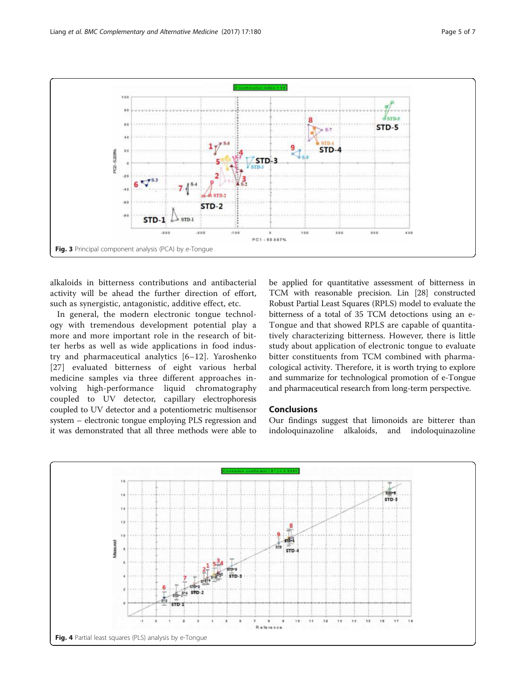<span id="page-4-0"></span>

alkaloids in bitterness contributions and antibacterial activity will be ahead the further direction of effort, such as synergistic, antagonistic, additive effect, etc.

In general, the modern electronic tongue technology with tremendous development potential play a more and more important role in the research of bitter herbs as well as wide applications in food industry and pharmaceutical analytics [\[6](#page-6-0)–[12\]](#page-6-0). Yaroshenko [[27](#page-6-0)] evaluated bitterness of eight various herbal medicine samples via three different approaches involving high-performance liquid chromatography coupled to UV detector, capillary electrophoresis coupled to UV detector and a potentiometric multisensor system – electronic tongue employing PLS regression and it was demonstrated that all three methods were able to

be applied for quantitative assessment of bitterness in TCM with reasonable precision. Lin [\[28](#page-6-0)] constructed Robust Partial Least Squares (RPLS) model to evaluate the bitterness of a total of 35 TCM detoctions using an e-Tongue and that showed RPLS are capable of quantitatively characterizing bitterness. However, there is little study about application of electronic tongue to evaluate bitter constituents from TCM combined with pharmacological activity. Therefore, it is worth trying to explore and summarize for technological promotion of e-Tongue and pharmaceutical research from long-term perspective.

# Conclusions

Our findings suggest that limonoids are bitterer than indoloquinazoline alkaloids, and indoloquinazoline

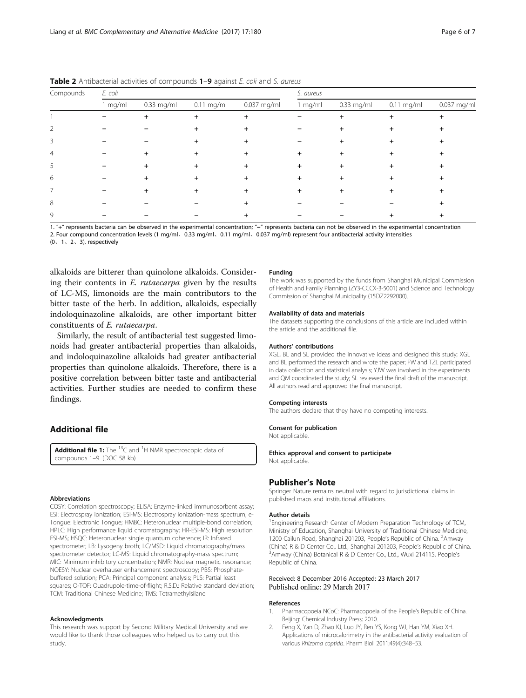| Compounds | E. coli |            |              |             | S. aureus |            |              |             |
|-----------|---------|------------|--------------|-------------|-----------|------------|--------------|-------------|
|           | 1 mg/ml | 0.33 mg/ml | $0.11$ mg/ml | 0.037 mg/ml | 1 mg/ml   | 0.33 mg/ml | $0.11$ mg/ml | 0.037 mg/ml |
|           |         |            |              |             |           |            |              |             |
|           |         |            |              |             |           |            |              |             |
|           |         |            |              |             |           |            |              |             |
|           |         |            |              |             |           |            |              |             |
|           |         |            |              |             |           |            |              |             |
| 6         |         |            |              |             |           |            |              |             |
|           |         |            |              |             |           |            |              |             |
| 8         |         |            |              |             |           |            |              |             |
| 9         |         |            |              |             |           |            |              |             |

<span id="page-5-0"></span>**Table 2** Antibacterial activities of compounds 1–9 against E. coli and S. gurgus

1. "+" represents bacteria can be observed in the experimental concentration; "−" represents bacteria can not be observed in the experimental concentration 2. Four compound concentration levels (1 mg/ml、0.33 mg/ml、0.11 mg/ml、0.037 mg/ml) represent four antibacterial activity intensities (0、1、2、3), respectively

alkaloids are bitterer than quinolone alkaloids. Considering their contents in E. rutaecarpa given by the results of LC-MS, limonoids are the main contributors to the bitter taste of the herb. In addition, alkaloids, especially indoloquinazoline alkaloids, are other important bitter constituents of E. rutaecarpa.

Similarly, the result of antibacterial test suggested limonoids had greater antibacterial properties than alkaloids, and indoloquinazoline alkaloids had greater antibacterial properties than quinolone alkaloids. Therefore, there is a positive correlation between bitter taste and antibacterial activities. Further studies are needed to confirm these findings.

# Additional file

[Additional file 1:](dx.doi.org/10.1186/s12906-017-1701-8) The <sup>13</sup>C and <sup>1</sup>H NMR spectroscopic data of compounds 1–9. (DOC 58 kb)

#### Abbreviations

COSY: Correlation spectroscopy; ELISA: Enzyme-linked immunosorbent assay; ESI: Electrospray ionization; ESI-MS: Electrospray ionization-mass spectrum; e-Tongue: Electronic Tongue; HMBC: Heteronuclear multiple-bond correlation; HPLC: High performance liquid chromatography; HR-ESI-MS: High resolution ESI-MS; HSQC: Heteronuclear single quantum coherence; IR: Infrared spectrometer; LB: Lysogeny broth; LC/MSD: Liquid chromatography/mass spectrometer detector; LC-MS: Liquid chromatography-mass spectrum; MIC: Minimum inhibitory concentration; NMR: Nuclear magnetic resonance; NOESY: Nuclear overhauser enhancement spectroscopy; PBS: Phosphatebuffered solution; PCA: Principal component analysis; PLS: Partial least squares; Q-TOF: Quadrupole-time-of-flight; R.S.D.: Relative standard deviation; TCM: Traditional Chinese Medicine; TMS: Tetramethylsilane

#### Acknowledgments

This research was support by Second Military Medical University and we would like to thank those colleagues who helped us to carry out this study.

#### Funding

The work was supported by the funds from Shanghai Municipal Commission of Health and Family Planning (ZY3-CCCX-3-5001) and Science and Technology Commission of Shanghai Municipality (15DZ2292000).

#### Availability of data and materials

The datasets supporting the conclusions of this article are included within the article and the additional file.

#### Authors' contributions

XGL, BL and SL provided the innovative ideas and designed this study; XGL and BL performed the research and wrote the paper; FW and TZL participated in data collection and statistical analysis; YJW was involved in the experiments and QM coordinated the study; SL reviewed the final draft of the manuscript. All authors read and approved the final manuscript.

#### Competing interests

The authors declare that they have no competing interests.

#### Consent for publication

Not applicable.

Ethics approval and consent to participate Not applicable.

#### Publisher's Note

Springer Nature remains neutral with regard to jurisdictional claims in published maps and institutional affiliations.

#### Author details

<sup>1</sup> Engineering Research Center of Modern Preparation Technology of TCM, Ministry of Education, Shanghai University of Traditional Chinese Medicine, 1200 Cailun Road, Shanghai 201203, People's Republic of China. <sup>2</sup>Amway (China) R & D Center Co., Ltd., Shanghai 201203, People's Republic of China. <sup>3</sup>Amway (China) Botanical R & D Center Co., Ltd., Wuxi 214115, People's Republic of China.

# Received: 8 December 2016 Accepted: 23 March 2017

#### References

- 1. Pharmacopoeia NCoC: Pharmacopoeia of the People's Republic of China. Beijing: Chemical Industry Press; 2010.
- Feng X, Yan D, Zhao KJ, Luo JY, Ren YS, Kong WJ, Han YM, Xiao XH. Applications of microcalorimetry in the antibacterial activity evaluation of various Rhizoma coptidis. Pharm Biol. 2011;49(4):348–53.